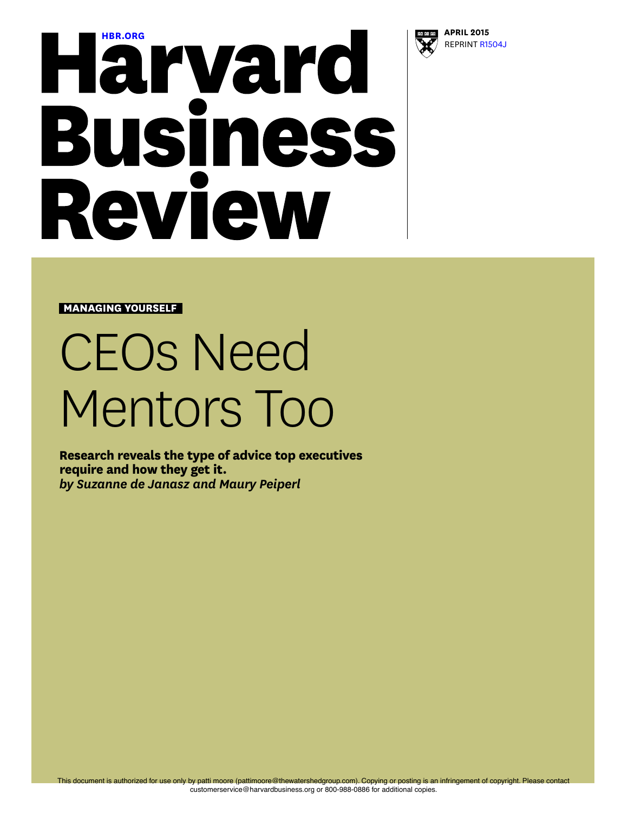

# **[HBR.ORG](http://hbr.org) APRIL 2015**<br>**APRIL 2015**<br>**APRIL 2015 Business** Review

**MANAGING YOURSELF**

# CEOs Need Mentors Too

**Research reveals the type of advice top executives require and how they get it.** *by Suzanne de Janasz and Maury Peiperl*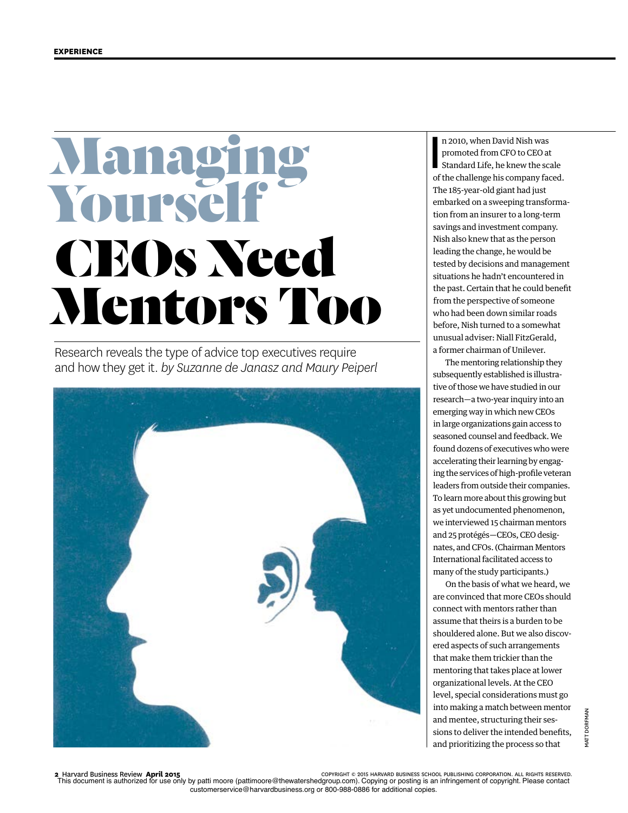## Manag Yoursel CEOs Need Mentors Too

Research reveals the type of advice top executives require and how they get it. *by Suzanne de Janasz and Maury Peiperl*



 $\overline{\phantom{a}}$ n 2010, when David Nish was promoted from CFO to CEO at Standard Life, he knew the scale of the challenge his company faced. The 185-year-old giant had just embarked on a sweeping transformation from an insurer to a long-term savings and investment company. Nish also knew that as the person leading the change, he would be tested by decisions and management situations he hadn't encountered in the past. Certain that he could beneft from the perspective of someone who had been down similar roads before, Nish turned to a somewhat unusual adviser: Niall FitzGerald, a former chairman of Unilever.

The mentoring relationship they subsequently established is illustrative of those we have studied in our research—a two-year inquiry into an emerging way in which new CEOs in large organizations gain access to seasoned counsel and feedback. We found dozens of executives who were accelerating their learning by engaging the services of high-profle veteran leaders from outside their companies. To learn more about this growing but as yet undocumented phenomenon, we interviewed 15 chairman mentors and 25 protégés—CEOs, CEO designates, and CFOs. (Chairman Mentors International facilitated access to many of the study participants.)

On the basis of what we heard, we are convinced that more CEOs should connect with mentors rather than assume that theirs is a burden to be shouldered alone. But we also discovered aspects of such arrangements that make them trickier than the mentoring that takes place at lower organizational levels. At the CEO level, special considerations must go into making a match between mentor and mentee, structuring their sessions to deliver the intended benefts, and prioritizing the process so that

COPYRIGHT © 2015 HARVARD BUSINESS SCHOOL PUBLISHING CORPORATION. ALL RIGHTS RESERVED.<br>This document is authorized for use only by patti moore (pattimoore@thewatershedgroup.com). Copying or posting is an infringement of co customerservice@harvardbusiness.org or 800-988-0886 for additional copies.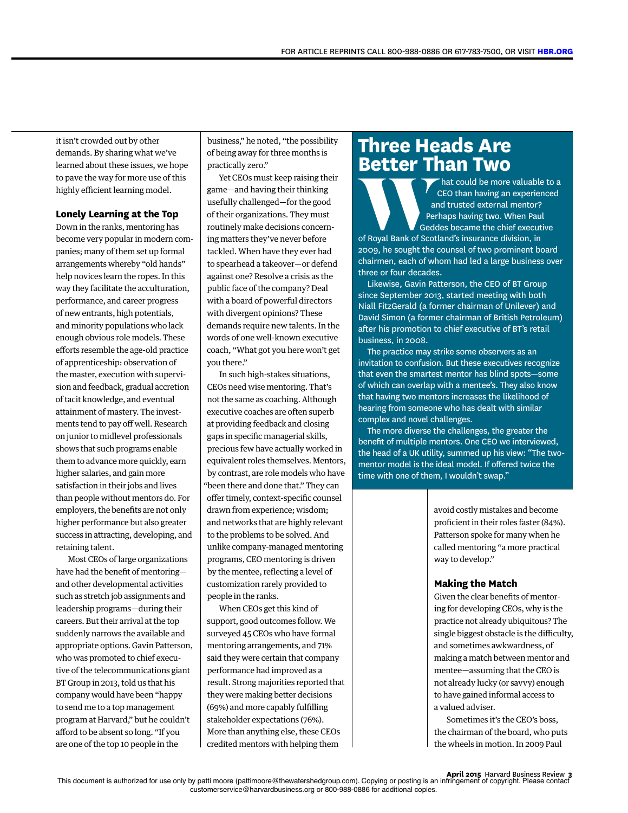it isn't crowded out by other demands. By sharing what we've learned about these issues, we hope to pave the way for more use of this highly efficient learning model.

#### **Lonely Learning at the Top**

Down in the ranks, mentoring has become very popular in modern companies; many of them set up formal arrangements whereby "old hands" help novices learn the ropes. In this way they facilitate the acculturation, performance, and career progress of new entrants, high potentials, and minority populations who lack enough obvious role models. These efforts resemble the age-old practice of apprenticeship: observation of the master, execution with supervision and feedback, gradual accretion of tacit knowledge, and eventual attainment of mastery. The investments tend to pay off well. Research on junior to midlevel professionals shows that such programs enable them to advance more quickly, earn higher salaries, and gain more satisfaction in their jobs and lives than people without mentors do. For employers, the benefts are not only higher performance but also greater success in attracting, developing, and retaining talent.

Most CEOs of large organizations have had the beneft of mentoring and other developmental activities such as stretch job assignments and leadership programs—during their careers. But their arrival at the top suddenly narrows the available and appropriate options. Gavin Patterson, who was promoted to chief executive of the telecommunications giant BT Group in 2013, told us that his company would have been "happy to send me to a top management program at Harvard," but he couldn't afford to be absent so long. "If you are one of the top 10 people in the

business," he noted, "the possibility of being away for three months is practically zero."

Yet CEOs must keep raising their game—and having their thinking usefully challenged—for the good of their organizations. They must routinely make decisions concerning matters they've never before tackled. When have they ever had to spearhead a takeover—or defend against one? Resolve a crisis as the public face of the company? Deal with a board of powerful directors with divergent opinions? These demands require new talents. In the words of one well-known executive coach, "What got you here won't get you there."

In such high-stakes situations, CEOs need wise mentoring. That's not the same as coaching. Although executive coaches are often superb at providing feedback and closing gaps in specifc managerial skills, precious few have actually worked in equivalent roles themselves. Mentors, by contrast, are role models who have "been there and done that." They can offer timely, context-specific counsel drawn from experience; wisdom; and networks that are highly relevant to the problems to be solved. And unlike company-managed mentoring programs, CEO mentoring is driven by the mentee, refecting a level of customization rarely provided to people in the ranks.

When CEOs get this kind of support, good outcomes follow. We surveyed 45 CEOs who have formal mentoring arrangements, and 71% said they were certain that company performance had improved as a result. Strong majorities reported that they were making better decisions (69%) and more capably fulflling stakeholder expectations (76%). More than anything else, these CEOs credited mentors with helping them

### **Three Heads Are Better Than Two**

hat could be more valuable to a CEO than having an experienced and trusted external mentor? Perhaps having two. When Paul Geddes became the chief executive **ED EXAMPLE ON THE CONSUMER ORDER ON A CEO than having an experier and trusted external mentor?**<br> **Perhaps having two. When Paul of Royal Bank of Scotland's insurance division, in** 

2009, he sought the counsel of two prominent board chairmen, each of whom had led a large business over three or four decades.

Likewise, Gavin Patterson, the CEO of BT Group since September 2013, started meeting with both Niall FitzGerald (a former chairman of Unilever) and David Simon (a former chairman of British Petroleum) after his promotion to chief executive of BT's retail business, in 2008.

The practice may strike some observers as an invitation to confusion. But these executives recognize that even the smartest mentor has blind spots—some of which can overlap with a mentee's. They also know that having two mentors increases the likelihood of hearing from someone who has dealt with similar complex and novel challenges.

The more diverse the challenges, the greater the benefit of multiple mentors. One CEO we interviewed, the head of a UK utility, summed up his view: "The twomentor model is the ideal model. If offered twice the time with one of them, I wouldn't swap."

> avoid costly mistakes and become profcient in their roles faster (84%). Patterson spoke for many when he called mentoring "a more practical way to develop."

#### **Making the Match**

Given the clear benefts of mentoring for developing CEOs, why is the practice not already ubiquitous? The single biggest obstacle is the difficulty, and sometimes awkwardness, of making a match between mentor and mentee—assuming that the CEO is not already lucky (or savvy) enough to have gained informal access to a valued adviser.

Sometimes it's the CEO's boss, the chairman of the board, who puts the wheels in motion. In 2009 Paul

**April 2015** Harvard Business Review **3** This document is authorized for use only by patti moore (pattimoore@thewatershedgroup.com). Copying or posting is an infringement of copyright. Please contact customerservice@harvardbusiness.org or 800-988-0886 for additional copies.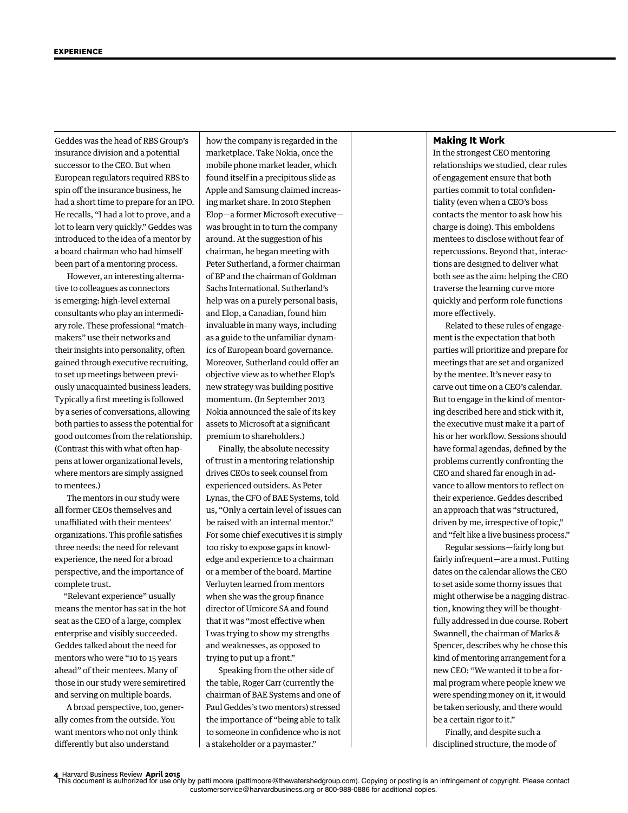Geddes was the head of RBS Group's insurance division and a potential successor to the CEO. But when European regulators required RBS to spin off the insurance business, he had a short time to prepare for an IPO. He recalls, "I had a lot to prove, and a lot to learn very quickly." Geddes was introduced to the idea of a mentor by a board chairman who had himself been part of a mentoring process.

However, an interesting alternative to colleagues as connectors is emerging: high-level external consultants who play an intermediary role. These professional "matchmakers" use their networks and their insights into personality, often gained through executive recruiting, to set up meetings between previously unacquainted business leaders. Typically a frst meeting is followed by a series of conversations, allowing both parties to assess the potential for good outcomes from the relationship. (Contrast this with what often happens at lower organizational levels, where mentors are simply assigned to mentees.)

The mentors in our study were all former CEOs themselves and unaffiliated with their mentees' organizations. This profle satisfes three needs: the need for relevant experience, the need for a broad perspective, and the importance of complete trust.

"Relevant experience" usually means the mentor has sat in the hot seat as the CEO of a large, complex enterprise and visibly succeeded. Geddes talked about the need for mentors who were "10 to 15 years ahead" of their mentees. Many of those in our study were semiretired and serving on multiple boards.

A broad perspective, too, generally comes from the outside. You want mentors who not only think diferently but also understand

how the company is regarded in the marketplace. Take Nokia, once the mobile phone market leader, which found itself in a precipitous slide as Apple and Samsung claimed increasing market share. In 2010 Stephen Elop—a former Microsoft executive was brought in to turn the company around. At the suggestion of his chairman, he began meeting with Peter Sutherland, a former chairman of BP and the chairman of Goldman Sachs International. Sutherland's help was on a purely personal basis, and Elop, a Canadian, found him invaluable in many ways, including as a guide to the unfamiliar dynamics of European board governance. Moreover, Sutherland could offer an objective view as to whether Elop's new strategy was building positive momentum. (In September 2013 Nokia announced the sale of its key assets to Microsoft at a signifcant premium to shareholders.)

Finally, the absolute necessity of trust in a mentoring relationship drives CEOs to seek counsel from experienced outsiders. As Peter Lynas, the CFO of BAE Systems, told us, "Only a certain level of issues can be raised with an internal mentor." For some chief executives it is simply too risky to expose gaps in knowledge and experience to a chairman or a member of the board. Martine Verluyten learned from mentors when she was the group fnance director of Umicore SA and found that it was "most efective when I was trying to show my strengths and weaknesses, as opposed to trying to put up a front."

Speaking from the other side of the table, Roger Carr (currently the chairman of BAE Systems and one of Paul Geddes's two mentors) stressed the importance of "being able to talk to someone in confdence who is not a stakeholder or a paymaster."

#### **Making It Work**

In the strongest CEO mentoring relationships we studied, clear rules of engagement ensure that both parties commit to total confdentiality (even when a CEO's boss contacts the mentor to ask how his charge is doing). This emboldens mentees to disclose without fear of repercussions. Beyond that, interactions are designed to deliver what both see as the aim: helping the CEO traverse the learning curve more quickly and perform role functions more efectively.

Related to these rules of engagement is the expectation that both parties will prioritize and prepare for meetings that are set and organized by the mentee. It's never easy to carve out time on a CEO's calendar. But to engage in the kind of mentoring described here and stick with it, the executive must make it a part of his or her workflow. Sessions should have formal agendas, defned by the problems currently confronting the CEO and shared far enough in advance to allow mentors to refect on their experience. Geddes described an approach that was "structured, driven by me, irrespective of topic," and "felt like a live business process."

Regular sessions—fairly long but fairly infrequent—are a must. Putting dates on the calendar allows the CEO to set aside some thorny issues that might otherwise be a nagging distraction, knowing they will be thoughtfully addressed in due course. Robert Swannell, the chairman of Marks & Spencer, describes why he chose this kind of mentoring arrangement for a new CEO: "We wanted it to be a formal program where people knew we were spending money on it, it would be taken seriously, and there would be a certain rigor to it."

Finally, and despite such a disciplined structure, the mode of

4 Harvard Business Review April 2015<br>This document is authorized for use only by patti moore (pattimoore@thewatershedgroup.com). Copying or posting is an infringement of copyright. Please contact customerservice@harvardbusiness.org or 800-988-0886 for additional copies.